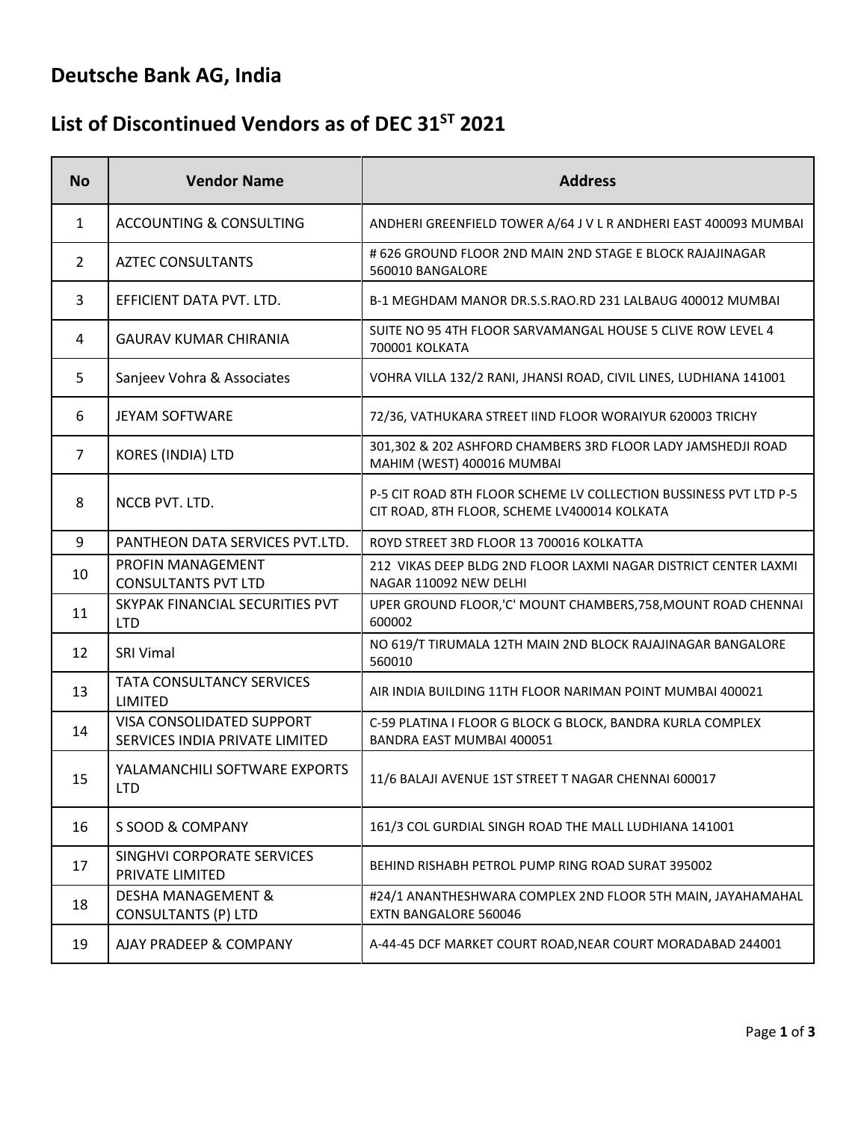# **Deutsche Bank AG, India**

### List of Discontinued Vendors as of DEC 31<sup>ST</sup> 2021

| <b>No</b>      | <b>Vendor Name</b>                                          | <b>Address</b>                                                                                                    |
|----------------|-------------------------------------------------------------|-------------------------------------------------------------------------------------------------------------------|
| 1              | <b>ACCOUNTING &amp; CONSULTING</b>                          | ANDHERI GREENFIELD TOWER A/64 J V L R ANDHERI EAST 400093 MUMBAI                                                  |
| $\overline{2}$ | <b>AZTEC CONSULTANTS</b>                                    | # 626 GROUND FLOOR 2ND MAIN 2ND STAGE E BLOCK RAJAJINAGAR<br>560010 BANGALORE                                     |
| 3              | EFFICIENT DATA PVT. LTD.                                    | B-1 MEGHDAM MANOR DR.S.S.RAO.RD 231 LALBAUG 400012 MUMBAI                                                         |
| 4              | <b>GAURAV KUMAR CHIRANIA</b>                                | SUITE NO 95 4TH FLOOR SARVAMANGAL HOUSE 5 CLIVE ROW LEVEL 4<br>700001 KOLKATA                                     |
| 5              | Sanjeev Vohra & Associates                                  | VOHRA VILLA 132/2 RANI, JHANSI ROAD, CIVIL LINES, LUDHIANA 141001                                                 |
| 6              | <b>JEYAM SOFTWARE</b>                                       | 72/36, VATHUKARA STREET IIND FLOOR WORAIYUR 620003 TRICHY                                                         |
| 7              | KORES (INDIA) LTD                                           | 301,302 & 202 ASHFORD CHAMBERS 3RD FLOOR LADY JAMSHEDJI ROAD<br>MAHIM (WEST) 400016 MUMBAI                        |
| 8              | NCCB PVT. LTD.                                              | P-5 CIT ROAD 8TH FLOOR SCHEME LV COLLECTION BUSSINESS PVT LTD P-5<br>CIT ROAD, 8TH FLOOR, SCHEME LV400014 KOLKATA |
| 9              | PANTHEON DATA SERVICES PVT.LTD.                             | ROYD STREET 3RD FLOOR 13 700016 KOLKATTA                                                                          |
| 10             | <b>PROFIN MANAGEMENT</b><br><b>CONSULTANTS PVT LTD</b>      | 212 VIKAS DEEP BLDG 2ND FLOOR LAXMI NAGAR DISTRICT CENTER LAXMI<br>NAGAR 110092 NEW DELHI                         |
| 11             | SKYPAK FINANCIAL SECURITIES PVT<br><b>LTD</b>               | UPER GROUND FLOOR,'C' MOUNT CHAMBERS, 758, MOUNT ROAD CHENNAI<br>600002                                           |
| 12             | <b>SRI Vimal</b>                                            | NO 619/T TIRUMALA 12TH MAIN 2ND BLOCK RAJAJINAGAR BANGALORE<br>560010                                             |
| 13             | <b>TATA CONSULTANCY SERVICES</b><br>LIMITED                 | AIR INDIA BUILDING 11TH FLOOR NARIMAN POINT MUMBAI 400021                                                         |
| 14             | VISA CONSOLIDATED SUPPORT<br>SERVICES INDIA PRIVATE LIMITED | C-59 PLATINA I FLOOR G BLOCK G BLOCK, BANDRA KURLA COMPLEX<br>BANDRA EAST MUMBAI 400051                           |
| 15             | YALAMANCHILI SOFTWARE EXPORTS<br><b>LTD</b>                 | 11/6 BALAJI AVENUE 1ST STREET T NAGAR CHENNAI 600017                                                              |
| 16             | S SOOD & COMPANY                                            | 161/3 COL GURDIAL SINGH ROAD THE MALL LUDHIANA 141001                                                             |
| 17             | SINGHVI CORPORATE SERVICES<br>PRIVATE LIMITED               | BEHIND RISHABH PETROL PUMP RING ROAD SURAT 395002                                                                 |
| 18             | <b>DESHA MANAGEMENT &amp;</b><br><b>CONSULTANTS (P) LTD</b> | #24/1 ANANTHESHWARA COMPLEX 2ND FLOOR 5TH MAIN, JAYAHAMAHAL<br>EXTN BANGALORE 560046                              |
| 19             | AJAY PRADEEP & COMPANY                                      | A-44-45 DCF MARKET COURT ROAD, NEAR COURT MORADABAD 244001                                                        |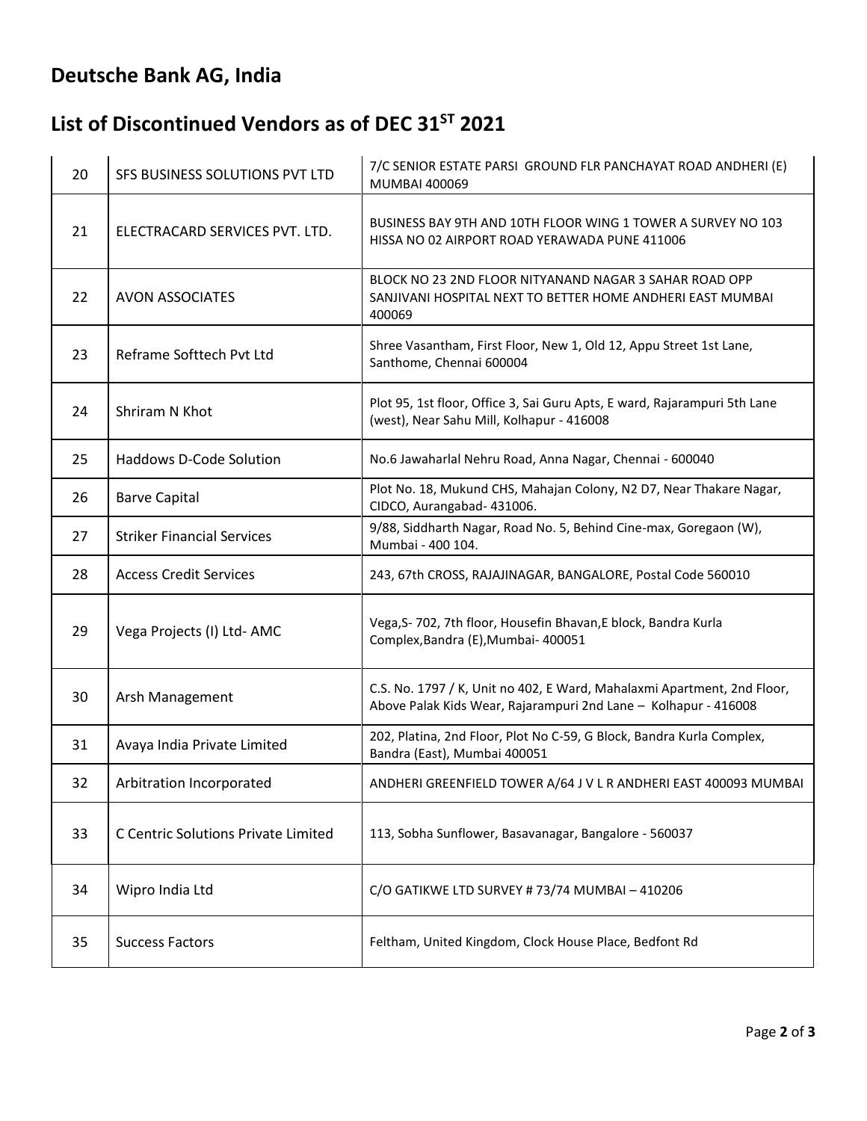# **Deutsche Bank AG, India**

### List of Discontinued Vendors as of DEC 31<sup>ST</sup> 2021

| 20 | SFS BUSINESS SOLUTIONS PVT LTD      | 7/C SENIOR ESTATE PARSI GROUND FLR PANCHAYAT ROAD ANDHERI (E)<br>MUMBAI 400069                                                             |
|----|-------------------------------------|--------------------------------------------------------------------------------------------------------------------------------------------|
| 21 | ELECTRACARD SERVICES PVT. LTD.      | BUSINESS BAY 9TH AND 10TH FLOOR WING 1 TOWER A SURVEY NO 103<br>HISSA NO 02 AIRPORT ROAD YERAWADA PUNE 411006                              |
| 22 | <b>AVON ASSOCIATES</b>              | BLOCK NO 23 2ND FLOOR NITYANAND NAGAR 3 SAHAR ROAD OPP<br>SANJIVANI HOSPITAL NEXT TO BETTER HOME ANDHERI EAST MUMBAI<br>400069             |
| 23 | Reframe Softtech Pvt Ltd            | Shree Vasantham, First Floor, New 1, Old 12, Appu Street 1st Lane,<br>Santhome, Chennai 600004                                             |
| 24 | Shriram N Khot                      | Plot 95, 1st floor, Office 3, Sai Guru Apts, E ward, Rajarampuri 5th Lane<br>(west), Near Sahu Mill, Kolhapur - 416008                     |
| 25 | <b>Haddows D-Code Solution</b>      | No.6 Jawaharlal Nehru Road, Anna Nagar, Chennai - 600040                                                                                   |
| 26 | <b>Barve Capital</b>                | Plot No. 18, Mukund CHS, Mahajan Colony, N2 D7, Near Thakare Nagar,<br>CIDCO, Aurangabad- 431006.                                          |
| 27 | <b>Striker Financial Services</b>   | 9/88, Siddharth Nagar, Road No. 5, Behind Cine-max, Goregaon (W),<br>Mumbai - 400 104.                                                     |
| 28 | <b>Access Credit Services</b>       | 243, 67th CROSS, RAJAJINAGAR, BANGALORE, Postal Code 560010                                                                                |
| 29 | Vega Projects (I) Ltd-AMC           | Vega, S-702, 7th floor, Housefin Bhavan, E block, Bandra Kurla<br>Complex, Bandra (E), Mumbai- 400051                                      |
| 30 | Arsh Management                     | C.S. No. 1797 / K, Unit no 402, E Ward, Mahalaxmi Apartment, 2nd Floor,<br>Above Palak Kids Wear, Rajarampuri 2nd Lane - Kolhapur - 416008 |
| 31 | Avaya India Private Limited         | 202, Platina, 2nd Floor, Plot No C-59, G Block, Bandra Kurla Complex,<br>Bandra (East), Mumbai 400051                                      |
| 32 | Arbitration Incorporated            | ANDHERI GREENFIELD TOWER A/64 J V L R ANDHERI EAST 400093 MUMBAI                                                                           |
| 33 | C Centric Solutions Private Limited | 113, Sobha Sunflower, Basavanagar, Bangalore - 560037                                                                                      |
| 34 | Wipro India Ltd                     | C/O GATIKWE LTD SURVEY #73/74 MUMBAI - 410206                                                                                              |
| 35 | <b>Success Factors</b>              | Feltham, United Kingdom, Clock House Place, Bedfont Rd                                                                                     |